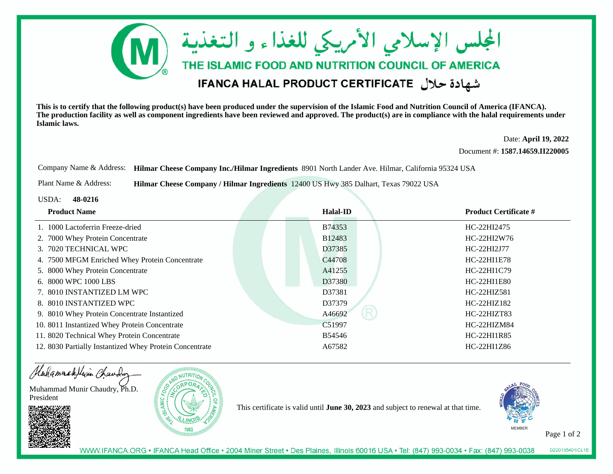

**This is to certify that the following product(s) have been produced under the supervision of the Islamic Food and Nutrition Council of America (IFANCA). The production facility as well as component ingredients have been reviewed and approved. The product(s) are in compliance with the halal requirements underIslamic laws.**

> Date: **April 19, 2022**Document #: **1587.14659.II220005**

Company Name & Address: **Hilmar Cheese Company Inc./Hilmar Ingredients** 8901 North Lander Ave. Hilmar, California 95324 USA

Plant Name & Address:**Hilmar Cheese Company / Hilmar Ingredients** 12400 US Hwy 385 Dalhart, Texas 79022 USA

USDA: **48-0216**

| <b>Product Name</b>                                     | Halal-ID    | <b>Product Certificate #</b> |
|---------------------------------------------------------|-------------|------------------------------|
| 1. 1000 Lactoferrin Freeze-dried                        | B74353      | HC-22HI2475                  |
| 2. 7000 Whey Protein Concentrate                        | B12483      | HC-22HI2W76                  |
| 3. 7020 TECHNICAL WPC                                   | D37385      | HC-22HI2J77                  |
| 4. 7500 MFGM Enriched Whey Protein Concentrate          | C44708      | HC-22HI1E78                  |
| 5. 8000 Whey Protein Concentrate                        | A41255      | HC-22HI1C79                  |
| 6. 8000 WPC 1000 LBS                                    | D37380      | HC-22HI1E80                  |
| 7. 8010 INSTANTIZED LM WPC                              | D37381      | HC-22HIZ581                  |
| 8. 8010 INSTANTIZED WPC                                 | D37379      | $HC-22HIZ182$                |
| 9. 8010 Whey Protein Concentrate Instantized            | R<br>A46692 | HC-22HIZT83                  |
| 10. 8011 Instantized Whey Protein Concentrate           | C51997      | HC-22HIZM84                  |
| 11. 8020 Technical Whey Protein Concentrate             | B54546      | HC-22HI1R85                  |
| 12. 8030 Partially Instantized Whey Protein Concentrate | A67582      | HC-22HI1Z86                  |



This certificate is valid until **June 30, 2023** and subject to renewal at that time.



Page 1 of 2